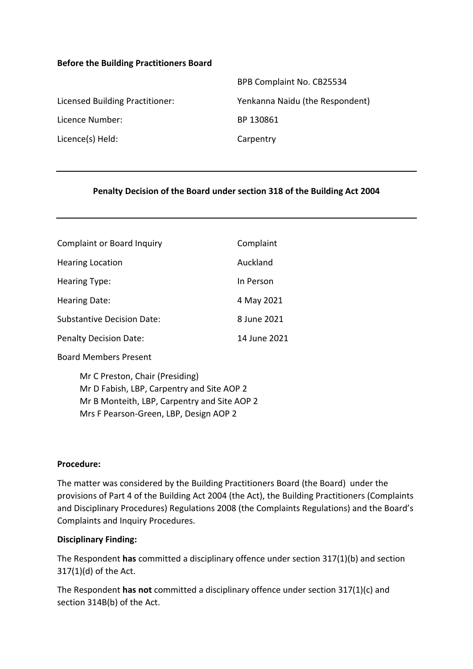### **Before the Building Practitioners Board**

|                                 | BPB Complaint No. CB25534       |
|---------------------------------|---------------------------------|
| Licensed Building Practitioner: | Yenkanna Naidu (the Respondent) |
| Licence Number:                 | BP 130861                       |
| Licence(s) Held:                | Carpentry                       |
|                                 |                                 |

### **Penalty Decision of the Board under section 318 of the Building Act 2004**

| <b>Complaint or Board Inquiry</b> | Complaint    |
|-----------------------------------|--------------|
| <b>Hearing Location</b>           | Auckland     |
| <b>Hearing Type:</b>              | In Person    |
| Hearing Date:                     | 4 May 2021   |
| <b>Substantive Decision Date:</b> | 8 June 2021  |
| <b>Penalty Decision Date:</b>     | 14 June 2021 |

Board Members Present

Mr C Preston, Chair (Presiding) Mr D Fabish, LBP, Carpentry and Site AOP 2 Mr B Monteith, LBP, Carpentry and Site AOP 2 Mrs F Pearson-Green, LBP, Design AOP 2

#### **Procedure:**

The matter was considered by the Building Practitioners Board (the Board) under the provisions of Part 4 of the Building Act 2004 (the Act), the Building Practitioners (Complaints and Disciplinary Procedures) Regulations 2008 (the Complaints Regulations) and the Board's Complaints and Inquiry Procedures.

#### **Disciplinary Finding:**

The Respondent **has** committed a disciplinary offence under section 317(1)(b) and section 317(1)(d) of the Act.

The Respondent **has not** committed a disciplinary offence under section 317(1)(c) and section 314B(b) of the Act.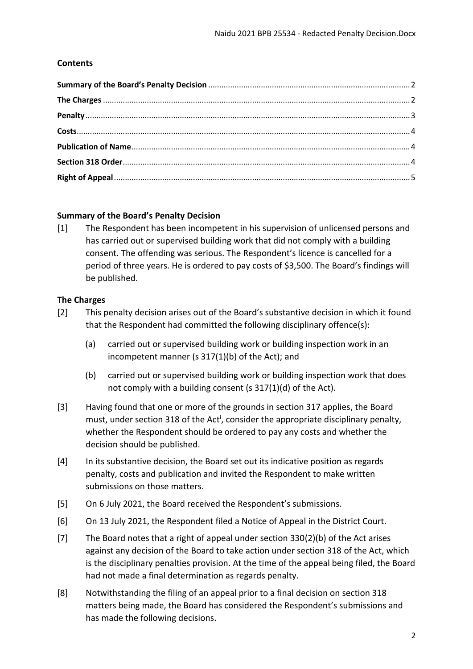## **Contents**

### <span id="page-1-0"></span>**Summary of the Board's Penalty Decision**

[1] The Respondent has been incompetent in his supervision of unlicensed persons and has carried out or supervised building work that did not comply with a building consent. The offending was serious. The Respondent's licence is cancelled for a period of three years. He is ordered to pay costs of \$3,500. The Board's findings will be published.

## <span id="page-1-1"></span>**The Charges**

- [2] This penalty decision arises out of the Board's substantive decision in which it found that the Respondent had committed the following disciplinary offence(s):
	- (a) carried out or supervised building work or building inspection work in an incompetent manner (s 317(1)(b) of the Act); and
	- (b) carried out or supervised building work or building inspection work that does not comply with a building consent (s 317(1)(d) of the Act).
- [3] Having found that one or more of the grounds in section 317 applies, the Board must, under section 318 of the Act<sup>i</sup>, consider the appropriate disciplinary penalty, whether the Respondent should be ordered to pay any costs and whether the decision should be published.
- [4] In its substantive decision, the Board set out its indicative position as regards penalty, costs and publication and invited the Respondent to make written submissions on those matters.
- [5] On 6 July 2021, the Board received the Respondent's submissions.
- [6] On 13 July 2021, the Respondent filed a Notice of Appeal in the District Court.
- [7] The Board notes that a right of appeal under section 330(2)(b) of the Act arises against any decision of the Board to take action under section 318 of the Act, which is the disciplinary penalties provision. At the time of the appeal being filed, the Board had not made a final determination as regards penalty.
- [8] Notwithstanding the filing of an appeal prior to a final decision on section 318 matters being made, the Board has considered the Respondent's submissions and has made the following decisions.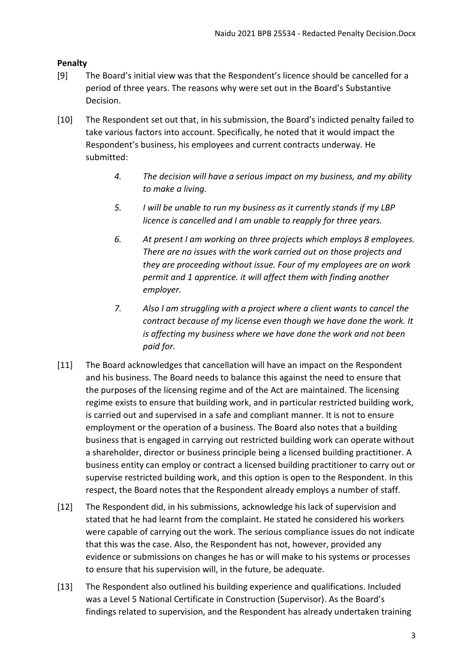# <span id="page-2-0"></span>**Penalty**

- [9] The Board's initial view was that the Respondent's licence should be cancelled for a period of three years. The reasons why were set out in the Board's Substantive Decision.
- [10] The Respondent set out that, in his submission, the Board's indicted penalty failed to take various factors into account. Specifically, he noted that it would impact the Respondent's business, his employees and current contracts underway. He submitted:
	- *4. The decision will have a serious impact on my business, and my ability to make a living.*
	- *5. I will be unable to run my business as it currently stands if my LBP licence is cancelled and I am unable to reapply for three years.*
	- *6. At present I am working on three projects which employs 8 employees. There are no issues with the work carried out on those projects and they are proceeding without issue. Four of my employees are on work permit and 1 apprentice. it will affect them with finding another employer.*
	- *7. Also I am struggling with a project where a client wants to cancel the contract because of my license even though we have done the work. It is affecting my business where we have done the work and not been paid for.*
- [11] The Board acknowledges that cancellation will have an impact on the Respondent and his business. The Board needs to balance this against the need to ensure that the purposes of the licensing regime and of the Act are maintained. The licensing regime exists to ensure that building work, and in particular restricted building work, is carried out and supervised in a safe and compliant manner. It is not to ensure employment or the operation of a business. The Board also notes that a building business that is engaged in carrying out restricted building work can operate without a shareholder, director or business principle being a licensed building practitioner. A business entity can employ or contract a licensed building practitioner to carry out or supervise restricted building work, and this option is open to the Respondent. In this respect, the Board notes that the Respondent already employs a number of staff.
- [12] The Respondent did, in his submissions, acknowledge his lack of supervision and stated that he had learnt from the complaint. He stated he considered his workers were capable of carrying out the work. The serious compliance issues do not indicate that this was the case. Also, the Respondent has not, however, provided any evidence or submissions on changes he has or will make to his systems or processes to ensure that his supervision will, in the future, be adequate.
- [13] The Respondent also outlined his building experience and qualifications. Included was a Level 5 National Certificate in Construction (Supervisor). As the Board's findings related to supervision, and the Respondent has already undertaken training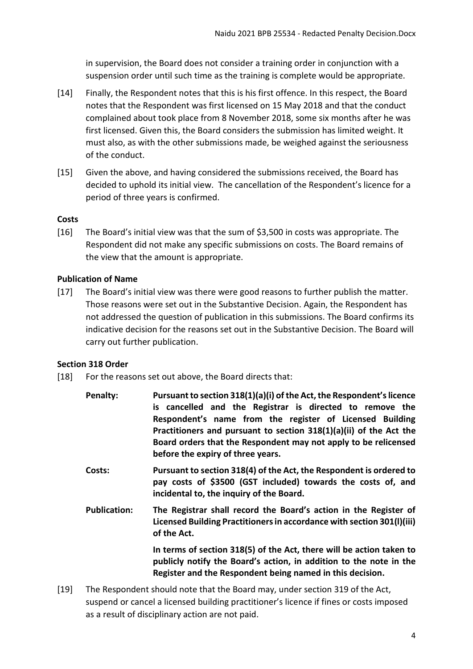in supervision, the Board does not consider a training order in conjunction with a suspension order until such time as the training is complete would be appropriate.

- [14] Finally, the Respondent notes that this is his first offence. In this respect, the Board notes that the Respondent was first licensed on 15 May 2018 and that the conduct complained about took place from 8 November 2018, some six months after he was first licensed. Given this, the Board considers the submission has limited weight. It must also, as with the other submissions made, be weighed against the seriousness of the conduct.
- [15] Given the above, and having considered the submissions received, the Board has decided to uphold its initial view. The cancellation of the Respondent's licence for a period of three years is confirmed.

## <span id="page-3-0"></span>**Costs**

[16] The Board's initial view was that the sum of \$3,500 in costs was appropriate. The Respondent did not make any specific submissions on costs. The Board remains of the view that the amount is appropriate.

# <span id="page-3-1"></span>**Publication of Name**

[17] The Board's initial view was there were good reasons to further publish the matter. Those reasons were set out in the Substantive Decision. Again, the Respondent has not addressed the question of publication in this submissions. The Board confirms its indicative decision for the reasons set out in the Substantive Decision. The Board will carry out further publication.

# <span id="page-3-2"></span>**Section 318 Order**

- [18] For the reasons set out above, the Board directs that:
	- **Penalty: Pursuant to section 318(1)(a)(i) of the Act, the Respondent's licence is cancelled and the Registrar is directed to remove the Respondent's name from the register of Licensed Building Practitioners and pursuant to section 318(1)(a)(ii) of the Act the Board orders that the Respondent may not apply to be relicensed before the expiry of three years.**
	- **Costs: Pursuant to section 318(4) of the Act, the Respondent is ordered to pay costs of \$3500 (GST included) towards the costs of, and incidental to, the inquiry of the Board.**
	- **Publication: The Registrar shall record the Board's action in the Register of Licensed Building Practitioners in accordance with section 301(l)(iii) of the Act.**

**In terms of section 318(5) of the Act, there will be action taken to publicly notify the Board's action, in addition to the note in the Register and the Respondent being named in this decision.**

[19] The Respondent should note that the Board may, under section 319 of the Act, suspend or cancel a licensed building practitioner's licence if fines or costs imposed as a result of disciplinary action are not paid.